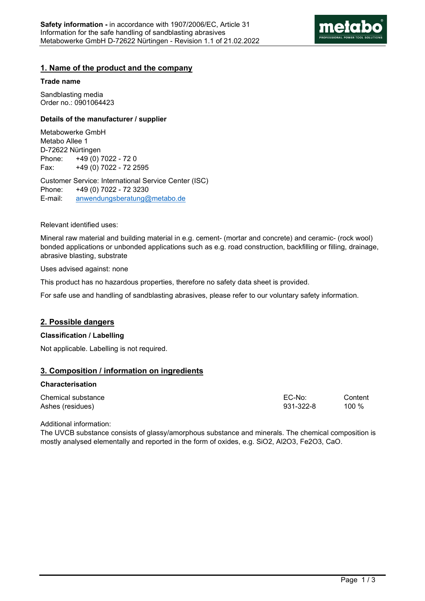

# **1. Name of the product and the company**

### **Trade name**

Sandblasting media Order no.: 0901064423

### **Details of the manufacturer / supplier**

Metabowerke GmbH Metabo Allee 1 D-72622 Nürtingen Phone: +49 (0) 7022 - 72 0 Fax: +49 (0) 7022 - 72 2595

Customer Service: International Service Center (ISC) Phone: +49 (0) 7022 - 72 3230 E-mail: anwendungsberatung@metabo.de

#### Relevant identified uses:

Mineral raw material and building material in e.g. cement- (mortar and concrete) and ceramic- (rock wool) bonded applications or unbonded applications such as e.g. road construction, backfilling or filling, drainage, abrasive blasting, substrate

#### Uses advised against: none

This product has no hazardous properties, therefore no safety data sheet is provided.

For safe use and handling of sandblasting abrasives, please refer to our voluntary safety information.

# **2. Possible dangers**

# **Classification / Labelling**

Not applicable. Labelling is not required.

# **3. Composition / information on ingredients**

#### **Characterisation**

| Chemical substance | EC-No:    | Content |
|--------------------|-----------|---------|
| Ashes (residues)   | 931-322-8 | 100 %   |

Additional information:

The UVCB substance consists of glassy/amorphous substance and minerals. The chemical composition is mostly analysed elementally and reported in the form of oxides, e.g. SiO2, Al2O3, Fe2O3, CaO.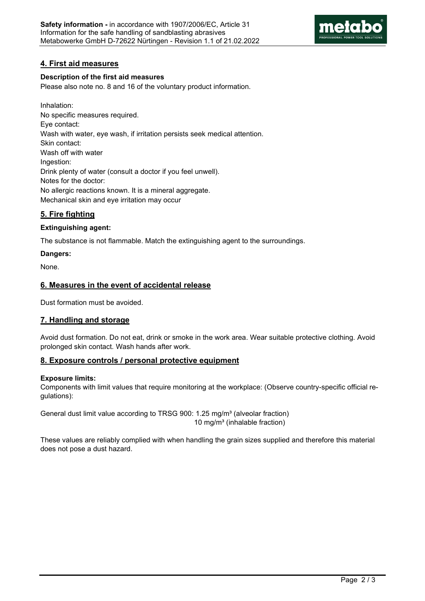

# **4. First aid measures**

# **Description of the first aid measures**

Please also note no. 8 and 16 of the voluntary product information.

Inhalation: No specific measures required. Eye contact: Wash with water, eye wash, if irritation persists seek medical attention. Skin contact: Wash off with water Ingestion: Drink plenty of water (consult a doctor if you feel unwell). Notes for the doctor: No allergic reactions known. It is a mineral aggregate. Mechanical skin and eye irritation may occur

# **5. Fire fighting**

# **Extinguishing agent:**

The substance is not flammable. Match the extinguishing agent to the surroundings.

# **Dangers:**

None.

# **6. Measures in the event of accidental release**

Dust formation must be avoided.

# **7. Handling and storage**

Avoid dust formation. Do not eat, drink or smoke in the work area. Wear suitable protective clothing. Avoid prolonged skin contact. Wash hands after work.

# **8. Exposure controls / personal protective equipment**

# **Exposure limits:**

Components with limit values that require monitoring at the workplace: (Observe country-specific official regulations):

General dust limit value according to TRSG 900: 1.25 mg/m<sup>3</sup> (alveolar fraction) 10 mg/m³ (inhalable fraction)

These values are reliably complied with when handling the grain sizes supplied and therefore this material does not pose a dust hazard.